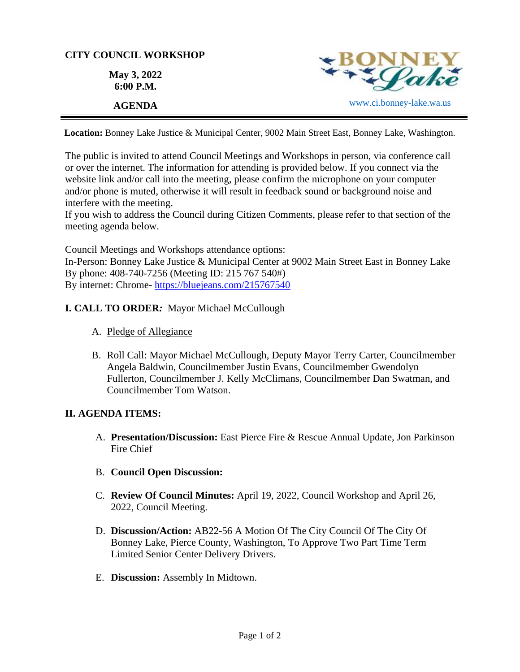## **CITY COUNCIL WORKSHOP**

**May 3, 2022 6:00 P.M.**



**Location:** Bonney Lake Justice & Municipal Center, 9002 Main Street East, Bonney Lake, Washington.

The public is invited to attend Council Meetings and Workshops in person, via conference call or over the internet. The information for attending is provided below. If you connect via the website link and/or call into the meeting, please confirm the microphone on your computer and/or phone is muted, otherwise it will result in feedback sound or background noise and interfere with the meeting.

If you wish to address the Council during Citizen Comments, please refer to that section of the meeting agenda below.

Council Meetings and Workshops attendance options: In-Person: Bonney Lake Justice & Municipal Center at 9002 Main Street East in Bonney Lake By phone: 408-740-7256 (Meeting ID: 215 767 540#) By internet: Chrome- [https://bluejeans.com/215767540](https://bluejeans.com/215767540?src=calendarLink&flow=joinmeeting)

# **I. CALL TO ORDER***:* Mayor Michael McCullough

- A. Pledge of Allegiance
- B. Roll Call: Mayor Michael McCullough, Deputy Mayor Terry Carter, Councilmember Angela Baldwin, Councilmember Justin Evans, Councilmember Gwendolyn Fullerton, Councilmember J. Kelly McClimans, Councilmember Dan Swatman, and Councilmember Tom Watson.

### **II. AGENDA ITEMS:**

- A. **Presentation/Discussion:** East Pierce Fire & Rescue Annual Update, Jon Parkinson Fire Chief
- B. **Council Open Discussion:**
- C. **Review Of Council Minutes:** April 19, 2022, Council Workshop and April 26, 2022, Council Meeting.
- D. **Discussion/Action:** AB22-56 A Motion Of The City Council Of The City Of Bonney Lake, Pierce County, Washington, To Approve Two Part Time Term Limited Senior Center Delivery Drivers.
- E. **Discussion:** Assembly In Midtown.